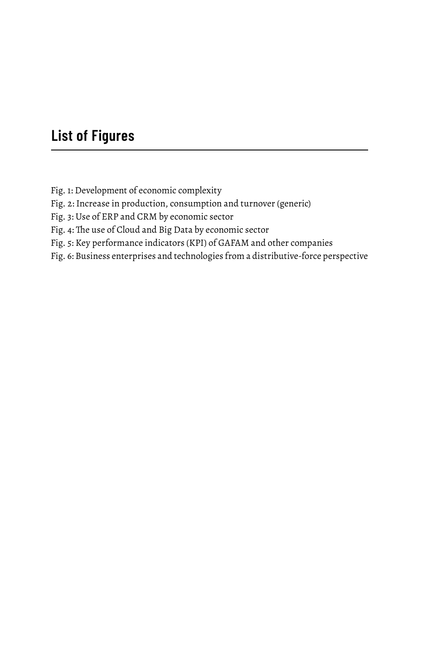## **List of Figures**

Fig. 1: Development of economic complexity

Fig. 2: Increase in production, consumption and turnover (generic)

Fig. 3: Use of ERP and CRM by economic sector

Fig. 4: The use of Cloud and Big Data by economic sector

Fig. 5: Key performance indicators (KPI) of GAFAM and other companies

Fig. 6: Business enterprises and technologies from a distributive-force perspective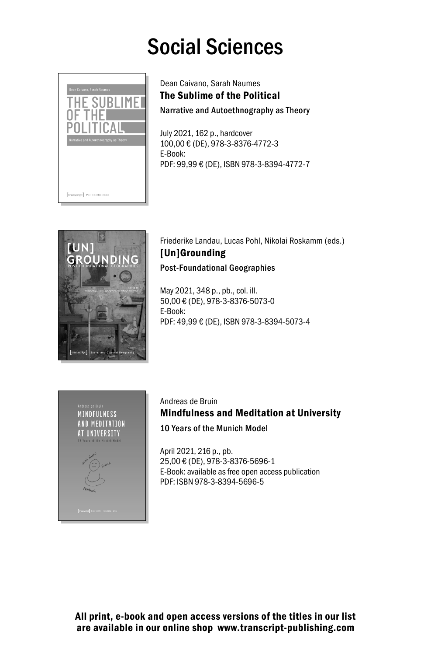## Social Sciences



Dean Caivano, Sarah Naumes The Sublime of the Political

Narrative and Autoethnography as Theory

July 2021, 162 p., hardcover 100,00 € (DE), 978-3-8376-4772-3 E-Book: PDF: 99,99 € (DE), ISBN 978-3-8394-4772-7



Friederike Landau, Lucas Pohl, Nikolai Roskamm (eds.) [Un]Grounding Post-Foundational Geographies

May 2021, 348 p., pb., col. ill. 50,00 € (DE), 978-3-8376-5073-0 E-Book: PDF: 49,99 € (DE), ISBN 978-3-8394-5073-4



Andreas de Bruin Mindfulness and Meditation at University 10 Years of the Munich Model

April 2021, 216 p., pb. 25,00 € (DE), 978-3-8376-5696-1 E-Book: available as free open access publication PDF: ISBN 978-3-8394-5696-5

All print, e-book and open access versions of the titles in our list are available in our online shop www.transcript-publishing.com